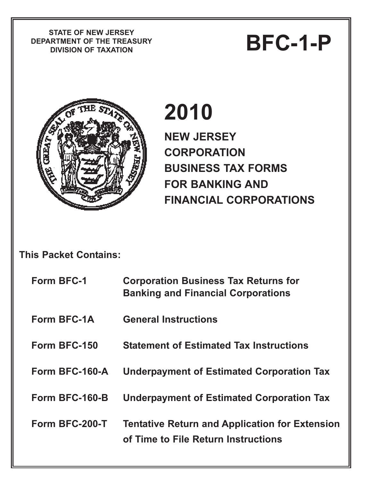**STATE OF NEW JERSEY DEPARTMENT OF THE TREASURY** PIATE OF NEW JERSET<br>RTMENT OF THE TREASURY<br>DIVISION OF TAXATION



# **2010**

**NEW JERSEY CORPORATION BUSINESS TAX FORMS FOR BANKING AND FINANCIAL CORPORATIONS** 

## **This Packet Contains:**

| <b>Form BFC-1</b> | <b>Corporation Business Tax Returns for</b><br><b>Banking and Financial Corporations</b>     |
|-------------------|----------------------------------------------------------------------------------------------|
| Form BFC-1A       | <b>General Instructions</b>                                                                  |
| Form BFC-150      | <b>Statement of Estimated Tax Instructions</b>                                               |
| Form BFC-160-A    | <b>Underpayment of Estimated Corporation Tax</b>                                             |
| Form BFC-160-B    | <b>Underpayment of Estimated Corporation Tax</b>                                             |
| Form BFC-200-T    | <b>Tentative Return and Application for Extension</b><br>of Time to File Return Instructions |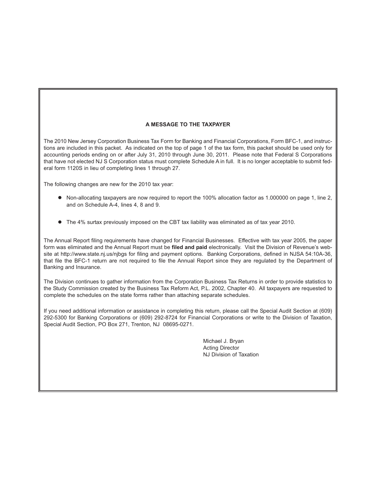#### **A MESSAGE TO THE TAXPAYER**

The 2010 New Jersey Corporation Business Tax Form for Banking and Financial Corporations, Form BFC-1, and instructions are included in this packet. As indicated on the top of page 1 of the tax form, this packet should be used only for accounting periods ending on or after July 31, 2010 through June 30, 2011. Please note that Federal S Corporations that have not elected NJ S Corporation status must complete Schedule A in full. It is no longer acceptable to submit federal form 1120S in lieu of completing lines 1 through 27.

The following changes are new for the 2010 tax year:

- Non-allocating taxpayers are now required to report the 100% allocation factor as 1.000000 on page 1, line 2, and on Schedule A-4, lines 4, 8 and 9.
- The 4% surtax previously imposed on the CBT tax liability was eliminated as of tax year 2010.

The Annual Report filing requirements have changed for Financial Businesses. Effective with tax year 2005, the paper form was eliminated and the Annual Report must be **filed and paid** electronically. Visit the Division of Revenue's website at http://www.state.nj.us/njbgs for filing and payment options. Banking Corporations, defined in NJSA 54:10A-36, that file the BFC-1 return are not required to file the Annual Report since they are regulated by the Department of Banking and Insurance.

The Division continues to gather information from the Corporation Business Tax Returns in order to provide statistics to the Study Commission created by the Business Tax Reform Act, P.L. 2002, Chapter 40. All taxpayers are requested to complete the schedules on the state forms rather than attaching separate schedules.

If you need additional information or assistance in completing this return, please call the Special Audit Section at (609) 292-5300 for Banking Corporations or (609) 292-8724 for Financial Corporations or write to the Division of Taxation, Special Audit Section, PO Box 271, Trenton, NJ 08695-0271.

> Michael J. Bryan Acting Director NJ Division of Taxation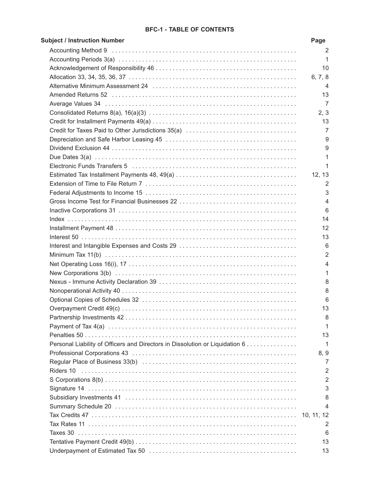#### **BFC-1 - TABLE OF CONTENTS**

| <b>Subject / Instruction Number</b>                                          | Page           |
|------------------------------------------------------------------------------|----------------|
|                                                                              | 2              |
|                                                                              | 1              |
|                                                                              | 10             |
|                                                                              | 6, 7, 8        |
|                                                                              | 4              |
|                                                                              | 13             |
|                                                                              | 7              |
|                                                                              | 2, 3           |
|                                                                              | 13             |
| Credit for Taxes Paid to Other Jurisdictions 35(a)                           | 7              |
|                                                                              | 9              |
|                                                                              | 9              |
|                                                                              | 1              |
|                                                                              | 1              |
|                                                                              | 12, 13         |
|                                                                              | 2              |
|                                                                              | 3              |
|                                                                              | 4              |
|                                                                              | 6              |
|                                                                              | 14             |
|                                                                              | 12             |
|                                                                              | 13             |
|                                                                              | 6              |
|                                                                              | $\overline{2}$ |
|                                                                              | 4              |
|                                                                              | 1              |
|                                                                              | 8              |
|                                                                              | 8              |
|                                                                              | 6              |
|                                                                              | 13             |
|                                                                              | 8              |
|                                                                              | 1              |
|                                                                              | 13             |
| Personal Liability of Officers and Directors in Dissolution or Liquidation 6 | 1              |
|                                                                              | 8, 9           |
|                                                                              | 7              |
|                                                                              | 2              |
|                                                                              | $\overline{2}$ |
|                                                                              | 3              |
|                                                                              | 8              |
|                                                                              | 4              |
|                                                                              | 10, 11, 12     |
|                                                                              | 2              |
|                                                                              | 6              |
|                                                                              | 13             |
|                                                                              | 13             |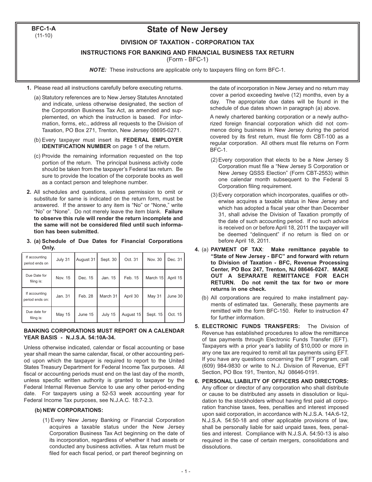**BFC-1-A**  $(11-10)$ 

### **State of New Jersey**

#### **DIVISION OF TAXATION - CORPORATION TAX**

**INSTRUCTIONS FOR BANKING AND FINANCIAL BUSINESS TAX RETURN**

(Form - BFC-1)

*NOTE:* These instructions are applicable only to taxpayers filing on form BFC-1.

- **1.** Please read all instructions carefully before executing returns.
	- (a) Statutory references are to New Jersey Statutes Annotated and indicate, unless otherwise designated, the section of the Corporation Business Tax Act, as amended and supplemented, on which the instruction is based. For information, forms, etc., address all requests to the Division of Taxation, PO Box 271, Trenton, New Jersey 08695-0271.
	- (b) Every taxpayer must insert its **FEDERAL EMPLOYER IDENTIFICATION NUMBER** on page 1 of the return.
	- (c) Provide the remaining information requested on the top portion of the return. The principal business activity code should be taken from the taxpayer's Federal tax return. Be sure to provide the location of the corporate books as well as a contact person and telephone number.
- **2.** All schedules and questions, unless permission to omit or substitute for same is indicated on the return form, must be answered. If the answer to any item is "No" or "None," write "No" or "None". Do not merely leave the item blank. **Failure to observe this rule will render the return incomplete and the same will not be considered filed until such information has been submitted.**
- **3. (a) Schedule of Due Dates for Financial Corporations Only.**

| If accounting<br>period ends on  | July 31 | August 31 | Sept. 30 | Oct. 31   | Nov. 30       | Dec. 31  |
|----------------------------------|---------|-----------|----------|-----------|---------------|----------|
| Due Date for<br>filing is:       | Nov. 15 | Dec. 15   | Jan. 15  | Feb. 15   | March 15      | April 15 |
| If accounting<br>period ends on: | Jan. 31 | Feb. 28   | March 31 | April 30  | <b>May 31</b> | June 30  |
| Due date for<br>filing is:       | May 15  | June 15   | July 15  | August 15 | Sept. 15      | Oct. 15  |

#### **BANKING CORPORATIONS MUST REPORT ON A CALENDAR YEAR BASIS - N.J.S.A. 54:10A-34.**

Unless otherwise indicated, calendar or fiscal accounting or base year shall mean the same calendar, fiscal, or other accounting period upon which the taxpayer is required to report to the United States Treasury Department for Federal Income Tax purposes. All fiscal or accounting periods must end on the last day of the month, unless specific written authority is granted to taxpayer by the Federal Internal Revenue Service to use any other period-ending date. For taxpayers using a 52-53 week accounting year for Federal Income Tax purposes, see N.J.A.C. 18:7-2.3.

#### **(b) NEW CORPORATIONS:**

(1) Every New Jersey Banking or Financial Corporation acquires a taxable status under the New Jersey Corporation Business Tax Act beginning on the date of its incorporation, regardless of whether it had assets or conducted any business activities. A tax return must be filed for each fiscal period, or part thereof beginning on

the date of incorporation in New Jersey and no return may cover a period exceeding twelve (12) months, even by a day. The appropriate due dates will be found in the schedule of due dates shown in paragraph (a) above.

A newly chartered banking corporation or a newly authorized foreign financial corporation which did not commence doing business in New Jersey during the period covered by its first return, must file form CBT-100 as a regular corporation. All others must file returns on Form BFC-1.

- (2) Every corporation that elects to be a New Jersey S Corporation must file a "New Jersey S Corporation or New Jersey QSSS Election" (Form CBT-2553) within one calendar month subsequent to the Federal S Corporation filing requirement.
- (3) Every corporation which incorporates, qualifies or otherwise acquires a taxable status in New Jersey and which has adopted a fiscal year other than December 31, shall advise the Division of Taxation promptly of the date of such accounting period. If no such advice is received on or before April 18, 2011 the taxpayer will be deemed "delinquent" if no return is filed on or before April 18, 2011.
- **4.** (a) **PAYMENT OF TAX**: **Make remittance payable to "State of New Jersey - BFC" and forward with return to Division of Taxation - BFC, Revenue Processing Center, PO Box 247, Trenton, NJ 08646-0247. MAKE OUT A SEPARATE REMITTANCE FOR EACH RETURN. Do not remit the tax for two or more returns in one check.**
	- (b) All corporations are required to make installment payments of estimated tax. Generally, these payments are remitted with the form BFC-150. Refer to instruction 47 for further information.
- **5. ELECTRONIC FUNDS TRANSFERS:** The Division of Revenue has established procedures to allow the remittance of tax payments through Electronic Funds Transfer (EFT). Taxpayers with a prior year's liability of \$10,000 or more in any one tax are required to remit all tax payments using EFT. If you have any questions concerning the EFT program, call (609) 984-9830 or write to N.J. Division of Revenue, EFT Section, PO Box 191, Trenton, NJ 08646-0191.
- **6. PERSONAL LIABILITY OF OFFICERS AND DIRECTORS:** Any officer or director of any corporation who shall distribute or cause to be distributed any assets in dissolution or liquidation to the stockholders without having first paid all corporation franchise taxes, fees, penalties and interest imposed upon said corporation, in accordance with N.J.S.A. 14A:6-12, N.J.S.A. 54:50-18 and other applicable provisions of law, shall be personally liable for said unpaid taxes, fees, penalties and interest. Compliance with N.J.S.A. 54:50-13 is also required in the case of certain mergers, consolidations and dissolutions.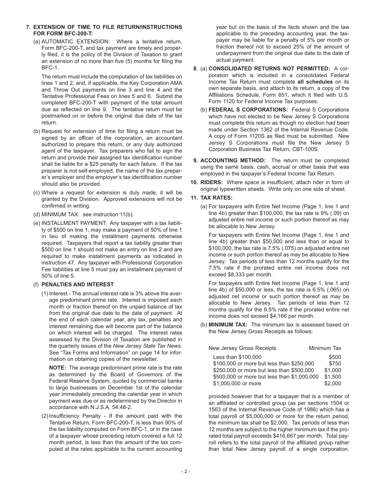- **7. EXTENSION OF TIME TO FILE RETURN/INSTRUCTIONS FOR FORM BFC-200-T:**
	- (a) AUTOMATIC EXTENSION: Where a tentative return, Form BFC-200-T, and tax payment are timely and properly filed, it is the policy of the Division of Taxation to grant an extension of no more than five (5) months for filing the BFC-1.

The return must include the computation of tax liabilities on lines 1 and 2, and, if applicable, the Key Corporation AMA and Throw Out payments on line 3 and line 4 and the Tentative Professional Fees on lines 5 and 6. Submit the completed BFC-200-T with payment of the total amount due as reflected on line 9. The tentative return must be postmarked on or before the original due date of the tax return.

- (b) Request for extension of time for filing a return must be signed by an officer of the corporation, an accountant authorized to prepare this return, or any duly authorized agent of the taxpayer. Tax preparers who fail to sign the return and provide their assigned tax identification number shall be liable for a \$25 penalty for each failure. If the tax preparer is not self-employed, the name of the tax preparer's employer and the employer's tax identification number should also be provided.
- (c) Where a request for extension is duly made, it will be granted by the Division. Approved extensions will not be confirmed in writing.
- (d) MINIMUM TAX: see instruction 11(b).
- (e) INSTALLMENT PAYMENT: Any taxpayer with a tax liability of \$500 on line 1, may make a payment of 50% of line 1 in lieu of making the installment payments otherwise required. Taxpayers that report a tax liability greater than \$500 on line 1 should not make an entry on line 2 and are required to make installment payments as indicated in instruction 47. Any taxpayer with Professional Corporation Fee liabilities at line 5 must pay an installment payment of 50% of line 5.

#### (f) **PENALTIES AND INTEREST**

(1) Interest - The annual interest rate is 3% above the average predominant prime rate. Interest is imposed each month or fraction thereof on the unpaid balance of tax from the original due date to the date of payment. At the end of each calendar year, any tax, penalties and interest remaining due will become part of the balance on which interest will be charged. The interest rates assessed by the Division of Taxation are published in the quarterly issues of the *New Jersey State Tax News*. See "Tax Forms and Information" on page 14 for information on obtaining copies of the newsletter.

**NOTE:** The average predominant prime rate is the rate as determined by the Board of Governors of the Federal Reserve System, quoted by commercial banks to large businesses on December 1st of the calendar year immediately preceding the calendar year in which payment was due or as redetermined by the Director in accordance with N.J.S.A. 54:48-2.

(2) Insufficiency Penalty - If the amount paid with the Tentative Return, Form BFC-200-T, is less than 90% of the tax liability computed on Form BFC-1, or in the case of a taxpayer whose preceding return covered a full 12 month period, is less than the amount of the tax computed at the rates applicable to the current accounting

year but on the basis of the facts shown and the law applicable to the preceding accounting year, the taxpayer may be liable for a penalty of 5% per month or fraction thereof not to exceed 25% of the amount of underpayment from the original due date to the date of actual payment.

- **8**. (a) **CONSOLIDATED RETURNS NOT PERMITTED:** A corporation which is included in a consolidated Federal Income Tax Return must complete **all schedules** on its own separate basis, and attach to its return, a copy of the Affiliations Schedule, Form 851, which it filed with U.S. Form 1120 for Federal Income Tax purposes.
	- (b) **FEDERAL S CORPORATIONS:** Federal S Corporations which have not elected to be New Jersey S Corporations must complete this return as though no election had been made under Section 1362 of the Internal Revenue Code. A copy of Form 1120S as filed must be submitted. New Jersey S Corporations must file the New Jersey S Corporation Business Tax Return, CBT-100S.
- **9. ACCOUNTING METHOD:** The return must be completed using the same basis, cash, accrual or other basis that was employed in the taxpayer's Federal Income Tax Return.
- **10. RIDERS:** Where space is insufficient, attach rider in form of original typewritten sheets. Write only on one side of sheet.

#### **11. TAX RATES:**

(a) For taxpayers with Entire Net Income (Page 1, line 1 and line 4b) greater than \$100,000, the tax rate is 9% (.09) on adjusted entire net income or such portion thereof as may be allocable to New Jersey.

For taxpayers with Entire Net Income (Page 1, line 1 and line 4b) greater than \$50,000 and less than or equal to \$100,000, the tax rate is 7.5% (.075) on adjusted entire net income or such portion thereof as may be allocable to New Jersey. Tax periods of less than 12 months qualify for the 7.5% rate if the prorated entire net income does not exceed \$8,333 per month.

For taxpayers with Entire Net Income (Page 1, line 1 and line 4b) of \$50,000 or less, the tax rate is 6.5% (.065) on adjusted net income or such portion thereof as may be allocable to New Jersey. Tax periods of less than 12 months qualify for the 6.5% rate if the prorated entire net income does not exceed \$4,166 per month.

(b) **MINIMUM TAX:** The minimum tax is assessed based on the New Jersey Gross Receipts as follows:

| <b>New Jersey Gross Receipts</b>            | Minimum Tax |  |  |
|---------------------------------------------|-------------|--|--|
| Less than \$100,000                         | \$500       |  |  |
| \$100,000 or more but less than \$250,000   | \$750       |  |  |
| \$250,000 or more but less than \$500,000   | \$1,000     |  |  |
| \$500,000 or more but less than \$1,000,000 | \$1,500     |  |  |
| \$1,000,000 or more                         | \$2,000     |  |  |

provided however that for a taxpayer that is a member of an affiliated or controlled group (as per sections 1504 or 1563 of the Internal Revenue Code of 1986) which has a total payroll of \$5,000,000 or more for the return period, the minimum tax shall be \$2,000. Tax periods of less than 12 months are subject to the higher minimum tax if the prorated total payroll exceeds \$416,667 per month. Total payroll refers to the total payroll of the affiliated group rather than total New Jersey payroll of a single corporation.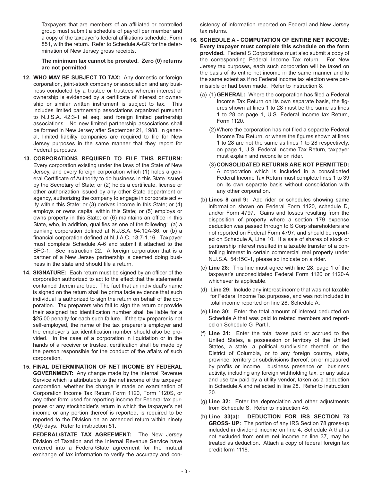Taxpayers that are members of an affiliated or controlled group must submit a schedule of payroll per member and a copy of the taxpayer's federal affiliations schedule, Form 851, with the return. Refer to Schedule A-GR for the determination of New Jersey gross receipts.

**The minimum tax cannot be prorated. Zero (0) returns are not permitted**

- **12. WHO MAY BE SUBJECT TO TAX:** Any domestic or foreign corporation, joint-stock company or association and any business conducted by a trustee or trustees wherein interest or ownership is evidenced by a certificate of interest or ownership or similar written instrument is subject to tax. This includes limited partnership associations organized pursuant to N.J.S.A. 42:3-1 et seq. and foreign limited partnership associations. No new limited partnership associations shall be formed in New Jersey after September 21, 1988. In general, limited liability companies are required to file for New Jersey purposes in the same manner that they report for Federal purposes.
- **13. CORPORATIONS REQUIRED TO FILE THIS RETURN:** Every corporation existing under the laws of the State of New Jersey, and every foreign corporation which (1) holds a general Certificate of Authority to do business in this State issued by the Secretary of State; or (2) holds a certificate, license or other authorization issued by any other State department or agency, authorizing the company to engage in corporate activity within this State; or (3) derives income in this State; or (4) employs or owns capital within this State; or (5) employs or owns property in this State; or (6) maintains an office in this State, who, in addition, qualifies as one of the following: (a) a banking corporation defined at N.J.S.A. 54:10A-36, or (b) a financial corporation defined at N.J.A.C. 18:7-1.16. Taxpayer must complete Schedule A-6 and submit it attached to the BFC-1. See instruction 22. A foreign corporation that is a partner of a New Jersey partnership is deemed doing business in the state and should file a return.
- **14. SIGNATURE:** Each return must be signed by an officer of the corporation authorized to act to the effect that the statements contained therein are true. The fact that an individual's name is signed on the return shall be prima facie evidence that such individual is authorized to sign the return on behalf of the corporation. Tax preparers who fail to sign the return or provide their assigned tax identification number shall be liable for a \$25.00 penalty for each such failure. If the tax preparer is not self-employed, the name of the tax preparer's employer and the employer's tax identification number should also be provided. In the case of a corporation in liquidation or in the hands of a receiver or trustee, certification shall be made by the person responsible for the conduct of the affairs of such corporation.
- **15. FINAL DETERMINATION OF NET INCOME BY FEDERAL GOVERNMENT:** Any change made by the Internal Revenue Service which is attributable to the net income of the taxpayer corporation, whether the change is made on examination of Corporation Income Tax Return Form 1120, Form 1120S, or any other form used for reporting income for Federal tax purposes or any stockholder's return in which the taxpayer's net income or any portion thereof is reported, is required to be reported to the Division on an amended return within ninety (90) days. Refer to instruction 51.

**FEDERAL/STATE TAX AGREEMENT:** The New Jersey Division of Taxation and the Internal Revenue Service have entered into a Federal/State agreement for the mutual exchange of tax information to verify the accuracy and consistency of information reported on Federal and New Jersey tax returns.

- **16. SCHEDULE A COMPUTATION OF ENTIRE NET INCOME: Every taxpayer must complete this schedule on the form provided.** Federal S Corporations must also submit a copy of the corresponding Federal Income Tax return. For New Jersey tax purposes, each such corporation will be taxed on the basis of its entire net income in the same manner and to the same extent as if no Federal income tax election were permissible or had been made. Refer to instruction 8.
	- (a) (1) **GENERAL:** Where the corporation has filed a Federal Income Tax Return on its own separate basis, the figures shown at lines 1 to 28 must be the same as lines 1 to 28 on page 1, U.S. Federal Income tax Return, Form 1120.
		- (2) Where the corporation has not filed a separate Federal Income Tax Return, or where the figures shown at lines 1 to 28 are not the same as lines 1 to 28 respectively, on page 1, U.S. Federal Income Tax Return, taxpayer must explain and reconcile on rider.
		- (3) **CONSOLIDATED RETURNS ARE NOT PERMITTED:** A corporation which is included in a consolidated Federal Income Tax Return must complete lines 1 to 39 on its own separate basis without consolidation with any other corporation.
	- (b) **Lines 8 and 9:** Add rider or schedules showing same information shown on Federal Form 1120, schedule D, and/or Form 4797. Gains and losses resulting from the disposition of property where a section 179 expense deduction was passed through to S Corp shareholders are not reported on Federal Form 4797, and should be reported on Schedule A, Line 10. If a sale of shares of stock or partnership interest resulted in a taxable transfer of a controlling interest in certain commercial real property under N.J.S.A. 54:15C-1, please so indicate on a rider.
	- (c) **Line 28:** This line must agree with line 28, page 1 of the taxpayer's unconsolidated Federal Form 1120 or 1120-A whichever is applicable.
	- (d) **Line 29:** Include any interest income that was not taxable for Federal Income Tax purposes, and was not included in total income reported on line 28, Schedule A.
	- (e) **Line 30:** Enter the total amount of interest deducted on Schedule A that was paid to related members and reported on Schedule G, Part I.
	- (f) **Line 31:** Enter the total taxes paid or accrued to the United States, a possession or territory of the United States, a state, a political subdivision thereof, or the District of Columbia, or to any foreign country, state, province, territory or subdivisions thereof, on or measured by profits or income, business presence or business activity, including any foreign withholding tax, or any sales and use tax paid by a utility vendor, taken as a deduction in Schedule A and reflected in line 28. Refer to instruction 30.
	- (g) **Line 32:** Enter the depreciation and other adjustments from Schedule S. Refer to instruction 45.
	- (h) **Line 33(a): DEDUCTION FOR IRS SECTION 78 GROSS- UP:** The portion of any IRS Section 78 gross-up included in dividend income on line 4, Schedule A that is not excluded from entire net income on line 37, may be treated as deduction. Attach a copy of federal foreign tax credit form 1118.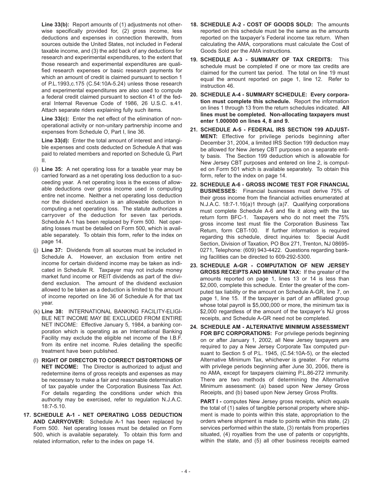**Line 33(b):** Report amounts of (1) adjustments not otherwise specifically provided for, (2) gross income, less deductions and expenses in connection therewith, from sources outside the United States, not included in Federal taxable income, and (3) the add back of any deductions for research and experimental expenditures, to the extent that those research and experimental expenditures are qualified research expenses or basic research payments for which an amount of credit is claimed pursuant to section 1 of P.L.1993,c.175 (C.54:10A-5.24) unless those research and experimental expenditures are also used to compute a federal credit claimed pursuant to section 41 of the federal Internal Revenue Code of 1986, 26 U.S.C. s.41. Attach separate riders explaining fully such items.

**Line 33(c):** Enter the net effect of the elimination of nonoperational activity or non-unitary partnership income and expenses from Schedule O, Part I, line 36.

**Line 33(d):** Enter the total amount of interest and intangible expenses and costs deducted on Schedule A that was paid to related members and reported on Schedule G, Part II.

- (i) **Line 35:** A net operating loss for a taxable year may be carried forward as a net operating loss deduction to a succeeding year. A net operating loss is the excess of allowable deductions over gross income used in computing entire net income. Neither a net operating loss deduction nor the dividend exclusion is an allowable deduction in computing a net operating loss. The statute authorizes a carryover of the deduction for seven tax periods. Schedule A-1 has been replaced by Form 500. Net operating losses must be detailed on Form 500, which is available separately. To obtain this form, refer to the index on page 14.
- (j) **Line 37:** Dividends from all sources must be included in Schedule A. However, an exclusion from entire net income for certain dividend income may be taken as indicated in Schedule R. Taxpayer may not include money market fund income or REIT dividends as part of the dividend exclusion. The amount of the dividend exclusion allowed to be taken as a deduction is limited to the amount of income reported on line 36 of Schedule A for that tax year.
- (k) **Line 38:** INTERNATIONAL BANKING FACILITY-ELIGI-BLE NET INCOME MAY BE EXCLUDED FROM ENTIRE NET INCOME: Effective January 5, 1984, a banking corporation which is operating as an International Banking Facility may exclude the eligible net income of the I.B.F. from its entire net income. Rules detailing the specific treatment have been published.
- (l) **RIGHT OF DIRECTOR TO CORRECT DISTORTIONS OF NET INCOME:** The Director is authorized to adjust and redetermine items of gross receipts and expenses as may be necessary to make a fair and reasonable determination of tax payable under the Corporation Business Tax Act. For details regarding the conditions under which this authority may be exercised, refer to regulation N.J.A.C. 18:7-5.10.
- **17. SCHEDULE A-1 NET OPERATING LOSS DEDUCTION AND CARRYOVER:** Schedule A-1 has been replaced by Form 500. Net operating losses must be detailed on Form 500, which is available separately. To obtain this form and related information, refer to the index on page 14.
- **18. SCHEDULE A-2 COST OF GOODS SOLD:** The amounts reported on this schedule must be the same as the amounts reported on the taxpayer's Federal income tax return. When calculating the AMA, corporations must calculate the Cost of Goods Sold per the AMA instructions.
- **19. SCHEDULE A-3 SUMMARY OF TAX CREDITS:** This schedule must be completed if one or more tax credits are claimed for the current tax period. The total on line 19 must equal the amount reported on page 1, line 12. Refer to instruction 46.
- **20. SCHEDULE A-4 SUMMARY SCHEDULE: Every corporation must complete this schedule.** Report the information on lines 1 through 13 from the return schedules indicated. **All lines must be completed. Non-allocating taxpayers must enter 1.000000 on lines 4, 8 and 9.**
- **21. SCHEDULE A-5 FEDERAL IRS SECTION 199 ADJUST-MENT:** Effective for privilege periods beginning after December 31, 2004, a limited IRS Section 199 deduction may be allowed for New Jersey CBT purposes on a separate entity basis. The Section 199 deduction which is allowable for New Jersey CBT purposes and entered on line 2, is computed on Form 501 which is available separately. To obtain this form, refer to the index on page 14.
- **22. SCHEDULE A-6 GROSS INCOME TEST FOR FINANCIAL BUSINESSES:** Financial businesses must derive 75% of their gross income from the financial activities enumerated at N.J.A.C. 18:7-1.16(a)1 through (a)7. Qualifying corporations must complete Schedule A-6 and file it along with the tax return form BFC-1. Taxpayers who do not meet the 75% gross income test must file the Corporation Business Tax Return, form CBT-100. If further information is required regarding this schedule, direct inquiries to: Special Audit Section, Division of Taxation, PO Box 271, Trenton, NJ 08695- 0271, Telephone: (609) 943-4422. Questions regarding banking facilities can be directed to 609-292-5300.
- **23. SCHEDULE A-GR COMPUTATION OF NEW JERSEY GROSS RECEIPTS AND MINIMUM TAX:** If the greater of the amounts reported on page 1, lines 13 or 14 is less than \$2,000, complete this schedule. Enter the greater of the computed tax liability or the amount on Schedule A-GR, line 7, on page 1, line 15. If the taxpayer is part of an affiliated group whose total payroll is \$5,000,000 or more, the minimum tax is \$2,000 regardless of the amount of the taxpayer's NJ gross receipts, and Schedule A-GR need not be completed.
- **24. SCHEDULE AM ALTERNATIVE MINIMUM ASSESSMENT FOR BFC CORPORATIONS:** For privilege periods beginning on or after January 1, 2002, all New Jersey taxpayers are required to pay a New Jersey Corporate Tax computed pursuant to Section 5 of P.L. 1945, (C.54:10A-5), or the elected Alternative Minimum Tax, whichever is greater. For returns with privilege periods beginning after June 30, 2006, there is no AMA, except for taxpayers claiming P.L.86-272 immunity. There are two methods of determining the Alternative Minimum assessment: (a) based upon New Jersey Gross Receipts, and (b) based upon New Jersey Gross Profits.

**PART I -** computes New Jersey gross receipts, which equals the total of (1) sales of tangible personal property where shipment is made to points within this state, appropriation to the orders where shipment is made to points within this state, (2) services performed within the state, (3) rentals from properties situated, (4) royalties from the use of patents or copyrights, within the state, and (5) all other business receipts earned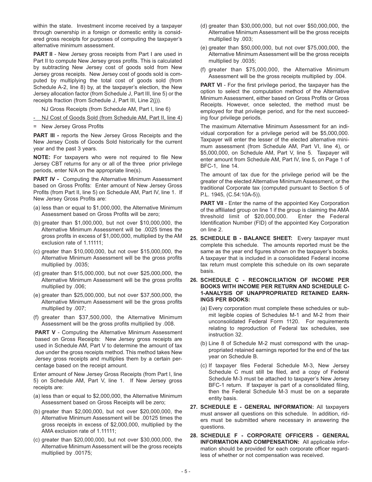within the state. Investment income received by a taxpayer through ownership in a foreign or domestic entity is considered gross receipts for purposes of computing the taxpayer's alternative minimum assessment.

**PART II** - New Jersey gross receipts from Part I are used in Part II to compute New Jersey gross profits. This is calculated by subtracting New Jersey cost of goods sold from New Jersey gross receipts. New Jersey cost of goods sold is computed by multiplying the total cost of goods sold (from Schedule A-2, line 8) by, at the taxpayer's election, the New Jersey allocation factor (from Schedule J, Part III, line 5) or the receipts fraction (from Schedule J, Part III, Line 2(j)).

NJ Gross Receipts (from Schedule AM, Part I, line 6)

- NJ Cost of Goods Sold (from Schedule AM, Part II, line 4)
- = New Jersey Gross Profits

**PART III -** reports the New Jersey Gross Receipts and the New Jersey Costs of Goods Sold historically for the current year and the past 3 years.

**NOTE:** For taxpayers who were not required to file New Jersey CBT returns for any or all of the three prior privilege periods, enter N/A on the appropriate line(s).

**PART IV -** Computing the Alternative Minimum Assessment based on Gross Profits: Enter amount of New Jersey Gross Profits (from Part II, line 5) on Schedule AM, Part IV, line 1. If New Jersey Gross Profits are:

- (a) less than or equal to \$1,000,000, the Alternative Minimum Assessment based on Gross Profits will be zero;
- (b) greater than \$1,000,000, but not over \$10,000,000, the Alternative Minimum Assessment will be .0025 times the gross profits in excess of \$1,000,000, multiplied by the AM exclusion rate of 1.11111;
- (c) greater than \$10,000,000, but not over \$15,000,000, the Alternative Minimum Assessment will be the gross profits multiplied by .0035;
- (d) greater than \$15,000,000, but not over \$25,000,000, the Alternative Minimum Assessment will be the gross profits multiplied by .006;
- (e) greater than \$25,000,000, but not over \$37,500,000, the Alternative Minimum Assessment will be the gross profits multiplied by .007;
- (f) greater than \$37,500,000, the Alternative Minimum Assessment will be the gross profits multiplied by .008.

**PART V** - Computing the Alternative Minimum Assessment based on Gross Receipts: New Jersey gross receipts are used in Schedule AM, Part V to determine the amount of tax due under the gross receipts method. This method takes New Jersey gross receipts and multiplies them by a certain percentage based on the receipt amount.

Enter amount of New Jersey Gross Receipts (from Part I, line 5) on Schedule AM, Part V, line 1. If New Jersey gross receipts are:

- (a) less than or equal to \$2,000,000, the Alternative Minimum Assessment based on Gross Receipts will be zero;
- (b) greater than \$2,000,000, but not over \$20,000,000, the Alternative Minimum Assessment will be .00125 times the gross receipts in excess of \$2,000,000, multiplied by the AMA exclusion rate of 1.11111;
- (c) greater than \$20,000,000, but not over \$30,000,000, the Alternative Minimum Assessment will be the gross receipts multiplied by .00175;
- (d) greater than \$30,000,000, but not over \$50,000,000, the Alternative Minimum Assessment will be the gross receipts multiplied by .003;
- (e) greater than \$50,000,000, but not over \$75,000,000, the Alternative Minimum Assessment will be the gross receipts multiplied by .0035;
- (f) greater than \$75,000,000, the Alternative Minimum Assessment will be the gross receipts multiplied by .004.

**PART VI** - For the first privilege period, the taxpayer has the option to select the computation method of the Alternative Minimum Assessment, either based on Gross Profits or Gross Receipts. However, once selected, the method must be employed for that privilege period, and for the next succeeding four privilege periods.

The maximum Alternative Minimum Assessment for an individual corporation for a privilege period will be \$5,000,000. Taxpayer will enter the lesser of the elected alternative minimum assessment (from Schedule AM, Part VI, line 4), or \$5,000,000, on Schedule AM, Part V, line 5. Taxpayer will enter amount from Schedule AM, Part IV, line 5, on Page 1 of BFC-1, line 14.

The amount of tax due for the privilege period will be the greater of the elected Alternative Minimum Assessment, or the traditional Corporate tax (computed pursuant to Section 5 of P.L. 1945, (C.54:10A-5)).

**PART VII** - Enter the name of the appointed Key Corporation of the affiliated group on line 1 if the group is claiming the AMA threshold limit of \$20,000,000. Enter the Federal Identification Number (FID) of the appointed Key Corporation on line 2.

- **25. SCHEDULE B BALANCE SHEET:** Every taxpayer must complete this schedule. The amounts reported must be the same as the year end figures shown on the taxpayer's books. A taxpayer that is included in a consolidated Federal income tax return must complete this schedule on its own separate basis.
- **26. SCHEDULE C RECONCILIATION OF INCOME PER BOOKS WITH INCOME PER RETURN AND SCHEDULE C-1-ANALYSIS OF UNAPPROPRIATED RETAINED EARN-INGS PER BOOKS:**
	- (a) Every corporation must complete these schedules or submit legible copies of Schedules M-1 and M-2 from their unconsolidated Federal Form 1120. For requirements relating to reproduction of Federal tax schedules, see instruction 32.
	- (b) Line 8 of Schedule M-2 must correspond with the unappropriated retained earnings reported for the end of the tax year on Schedule B.
	- (c) If taxpayer files Federal Schedule M-3, New Jersey Schedule C must still be filed, and a copy of Federal Schedule M-3 must be attached to taxpayer's New Jersey BFC-1 return. If taxpayer is part of a consolidated filing, then the Federal Schedule M-3 must be on a separate entity basis.
- **27. SCHEDULE E GENERAL INFORMATION:** All taxpayers must answer all questions on this schedule. In addition, riders must be submitted where necessary in answering the questions.
- **28. SCHEDULE F CORPORATE OFFICERS GENERAL INFORMATION AND COMPENSATION:** All applicable information should be provided for each corporate officer regardless of whether or not compensation was received.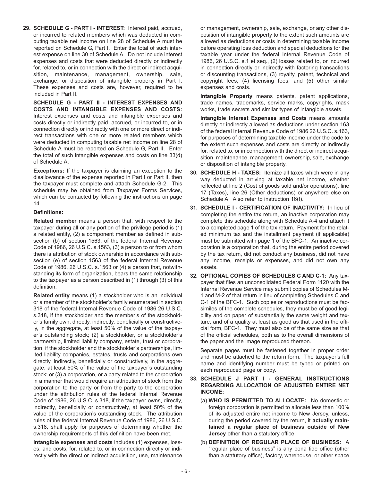**29. SCHEDULE G - PART I - INTEREST:** Interest paid, accrued, or incurred to related members which was deducted in computing taxable net income on line 28 of Schedule A must be reported on Schedule G, Part I. Enter the total of such interest expense on line 30 of Schedule A. Do not include interest expenses and costs that were deducted directly or indirectly for, related to, or in connection with the direct or indirect acquisition, maintenance, management, ownership, sale, exchange, or disposition of intangible property in Part I. These expenses and costs are, however, required to be included in Part II.

**SCHEDULE G - PART II - INTEREST EXPENSES AND COSTS AND INTANGIBLE EXPENSES AND COSTS:** Interest expenses and costs and intangible expenses and costs directly or indirectly paid, accrued, or incurred to, or in connection directly or indirectly with one or more direct or indirect transactions with one or more related members which were deducted in computing taxable net income on line 28 of Schedule A must be reported on Schedule G, Part II. Enter the total of such intangible expenses and costs on line 33(d) of Schedule A.

**Exceptions:** If the taxpayer is claiming an exception to the disallowance of the expense reported in Part I or Part II, then the taxpayer must complete and attach Schedule G-2. This schedule may be obtained from Taxpayer Forms Services, which can be contacted by following the instructions on page 14.

#### **Definitions:**

**Related membe**r means a person that, with respect to the taxpayer during all or any portion of the privilege period is (1) a related entity, (2) a component member as defined in subsection (b) of section 1563, of the federal Internal Revenue Code of 1986, 26 U.S.C. s.1563, (3) a person to or from whom there is attribution of stock ownership in accordance with subsection (e) of section 1563 of the federal Internal Revenue Code of 1986, 26 U.S.C. s.1563 or (4) a person that, notwithstanding its form of organization, bears the same relationship to the taxpayer as a person described in (1) through (3) of this definition.

**Related entity** means (1) a stockholder who is an individual or a member of the stockholder's family enumerated in section 318 of the federal Internal Revenue Code of 1986 26 U.S.C. s.318, if the stockholder and the member's of the stockholder's family own, directly, indirectly, beneficially or constructively, in the aggregate, at least 50% of the value of the taxpayer's outstanding stock; (2) a stockholder, or a stockholder's partnership, limited liability company, estate, trust or corporation, if the stockholder and the stockholder's partnerships, limited liability companies, estates, trusts and corporations own directly, indirectly, beneficially or constructively, in the aggregate, at least 50% of the value of the taxpayer's outstanding stock; or (3) a corporation, or a party related to the corporation in a manner that would require an attribution of stock from the corporation to the party or from the party to the corporation under the attribution rules of the federal Internal Revenue Code of 1986, 26 U.S.C. s.318, if the taxpayer owns, directly, indirectly, beneficially or constructively, at least 50% of the value of the corporation's outstanding stock. The attribution rules of the federal Internal Revenue Code of 1986, 26 U.S.C. s.318, shall apply for purposes of determining whether the ownership requirements of this definition have been met.

**Intangible expenses and costs** includes (1) expenses, losses, and costs, for, related to, or in connection directly or indirectly with the direct or indirect acquisition, use, maintenance

or management, ownership, sale, exchange, or any other disposition of intangible property to the extent such amounts are allowed as deductions or costs in determining taxable income before operating loss deduction and special deductions for the taxable year under the federal Internal Revenue Code of 1986, 26 U.S.C. s.1 et seq., (2) losses related to, or incurred in connection directly or indirectly with factoring transactions or discounting transactions, (3) royalty, patent, technical and copyright fees, (4) licensing fees, and (5) other similar expenses and costs.

**Intangible Property** means patents, patent applications, trade names, trademarks, service marks, copyrights, mask works, trade secrets and similar types of intangible assets.

**Intangible Interest Expenses and Costs** means amounts directly or indirectly allowed as deductions under section 163 of the federal Internal Revenue Code of 1986 26 U.S.C. s.163, for purposes of determining taxable income under the code to the extent such expenses and costs are directly or indirectly for, related to, or in connection with the direct or indirect acquisition, maintenance, management, ownership, sale, exchange or disposition of intangible property.

- **30. SCHEDULE H TAXES:** Itemize all taxes which were in any way deducted in arriving at taxable net income, whether reflected at line 2 (Cost of goods sold and/or operations), line 17 (Taxes), line 26 (Other deductions) or anywhere else on Schedule A. Also refer to instruction 16(f).
- **31. SCHEDULE I CERTIFICATION OF INACTIVITY:** In lieu of completing the entire tax return, an inactive corporation may complete this schedule along with Schedule A-4 and attach it to a completed page 1 of the tax return. Payment for the related minimum tax and the installment payment (if applicable) must be submitted with page 1 of the BFC-1. An inactive corporation is a corporation that, during the entire period covered by the tax return, did not conduct any business, did not have any income, receipts or expenses, and did not own any assets.
- **32. OPTIONAL COPIES OF SCHEDULES C AND C-1:** Any taxpayer that files an unconsolidated Federal Form 1120 with the Internal Revenue Service may submit copies of Schedules M-1 and M-2 of that return in lieu of completing Schedules C and C-1 of the BFC-1. Such copies or reproductions must be facsimiles of the complete schedules, they must be of good legibility and on paper of substantially the same weight and texture, and of a quality at least as good as that used in the official form, BFC-1. They must also be of the same size as that of the official schedules, both as to the overall dimensions of the paper and the image reproduced thereon.

Separate pages must be fastened together in proper order and must be attached to the return form. The taxpayer's full name and identifying number must be typed or printed on each reproduced page or copy.

- **33. SCHEDULE J PART I GENERAL INSTRUCTIONS REGARDING ALLOCATION OF ADJUSTED ENTIRE NET INCOME:**
	- (a) **WHO IS PERMITTED TO ALLOCATE:** No domestic or foreign corporation is permitted to allocate less than 100% of its adjusted entire net income to New Jersey, unless, during the period covered by the return, it **actually maintained a regular place of business outside of New Jersey** other than a statutory office.
	- (b) **DEFINITION OF REGULAR PLACE OF BUSINESS:** A "regular place of business" is any bona fide office (other than a statutory office), factory, warehouse, or other space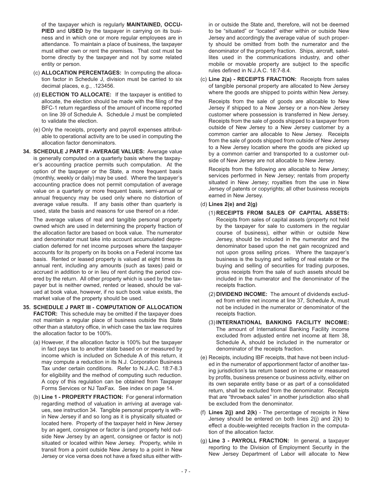of the taxpayer which is regularly **MAINTAINED, OCCU-PIED** and **USED** by the taxpayer in carrying on its business and in which one or more regular employees are in attendance. To maintain a place of business, the taxpayer must either own or rent the premises. That cost must be borne directly by the taxpayer and not by some related entity or person.

- (c) **ALLOCATION PERCENTAGES:** In computing the allocation factor in Schedule J, division must be carried to six decimal places, e.g., .123456.
- (d) **ELECTION TO ALLOCATE:** If the taxpayer is entitled to allocate, the election should be made with the filing of the BFC-1 return regardless of the amount of income reported on line 39 of Schedule A. Schedule J must be completed to validate the election.
- (e) Only the receipts, property and payroll expenses attributable to operational activity are to be used in computing the allocation factor denominators.
- **34. SCHEDULE J PART II AVERAGE VALUES:** Average value is generally computed on a quarterly basis where the taxpayer's accounting practice permits such computation. At the option of the taxpayer or the State, a more frequent basis (monthly, weekly or daily) may be used. Where the taxpayer's accounting practice does not permit computation of average value on a quarterly or more frequent basis, semi-annual or annual frequency may be used only where no distortion of average value results. If any basis other than quarterly is used, state the basis and reasons for use thereof on a rider.

The average values of real and tangible personal property owned which are used in determining the property fraction of the allocation factor are based on book value. The numerator and denominator must take into account accumulated depreciation deferred for net income purposes where the taxpayer accounts for its property on its books on a Federal income tax basis. Rented or leased property is valued at eight times its annual rent, including any amounts (such as taxes) paid or accrued in addition to or in lieu of rent during the period covered by the return. All other property which is used by the taxpayer but is neither owned, rented or leased, should be valued at book value, however, if no such book value exists, the market value of the property should be used.

- **35. SCHEDULE J PART III COMPUTATION OF ALLOCATION FACTOR:** This schedule may be omitted if the taxpayer does not maintain a regular place of business outside this State other than a statutory office, in which case the tax law requires the allocation factor to be 100%.
	- (a) However, if the allocation factor is 100% but the taxpayer in fact pays tax to another state based on or measured by income which is included on Schedule A of this return, it may compute a reduction in its N.J. Corporation Business Tax under certain conditions. Refer to N.J.A.C. 18:7-8.3 for eligibility and the method of computing such reduction. A copy of this regulation can be obtained from Taxpayer Forms Services or NJ TaxFax. See index on page 14.
	- (b) **Line 1 PROPERTY FRACTION:** For general information regarding method of valuation in arriving at average values, see instruction 34. Tangible personal property is within New Jersey if and so long as it is physically situated or located here. Property of the taxpayer held in New Jersey by an agent, consignee or factor is (and property held outside New Jersey by an agent, consignee or factor is not) situated or located within New Jersey. Property, while in transit from a point outside New Jersey to a point in New Jersey or vice versa does not have a fixed situs either with-

in or outside the State and, therefore, will not be deemed to be "situated" or "located" either within or outside New Jersey and accordingly the average value of such property should be omitted from both the numerator and the denominator of the property fraction. Ships, aircraft, satellites used in the communications industry, and other mobile or movable property are subject to the specific rules defined in N.J.A.C. 18:7-8.4.

(c) **Line 2(a) - RECEIPTS FRACTION:** Receipts from sales of tangible personal property are allocated to New Jersey where the goods are shipped to points within New Jersey.

Receipts from the sale of goods are allocable to New Jersey if shipped to a New Jersey or a non-New Jersey customer where possession is transferred in New Jersey. Receipts from the sale of goods shipped to a taxpayer from outside of New Jersey to a New Jersey customer by a common carrier are allocable to New Jersey. Receipts from the sale of goods shipped from outside of New Jersey to a New Jersey location where the goods are picked up by a common carrier and transported to a customer outside of New Jersey are not allocable to New Jersey.

Receipts from the following are allocable to New Jersey; services performed in New Jersey; rentals from property situated in New Jersey; royalties from the use in New Jersey of patents or copyrights; all other business receipts earned in New Jersey.

#### (d) **Lines 2(e) and 2(g)**

- (1) **RECEIPTS FROM SALES OF CAPITAL ASSETS:** Receipts from sales of capital assets (property not held by the taxpayer for sale to customers in the regular course of business), either within or outside New Jersey, should be included in the numerator and the denominator based upon the net gain recognized and not upon gross selling prices. Where the taxpayer's business is the buying and selling of real estate or the buying and selling of securities for trading purposes, gross receipts from the sale of such assets should be included in the numerator and the denominator of the receipts fraction.
- (2) **DIVIDEND INCOME:** The amount of dividends excluded from entire net income at line 37, Schedule A, must not be included in the numerator or denominator of the receipts fraction.
- (3) **INTERNATIONAL BANKING FACILITY INCOME:** The amount of International Banking Facility income excluded from adjusted entire net income at Item 38, Schedule A, should be included in the numerator or denominator of the receipts fraction.
- (e) Receipts, including IBF receipts, that have not been included in the numerator of apportionment factor of another taxing jurisdiction's tax return based on income or measured by profits, business presence or business activity, either on its own separate entity base or as part of a consolidated return, shall be excluded from the denominator. Receipts that are "throwback sales" in another jurisdiction also shall be excluded from the denominator.
- (f) **Lines 2(j) and 2(k)**  The percentage of receipts in New Jersey should be entered on both lines 2(j) and 2(k) to effect a double-weighted receipts fraction in the computation of the allocation factor.
- (g) **Line 3 PAYROLL FRACTION:** In general, a taxpayer reporting to the Division of Employment Security in the New Jersey Department of Labor will allocate to New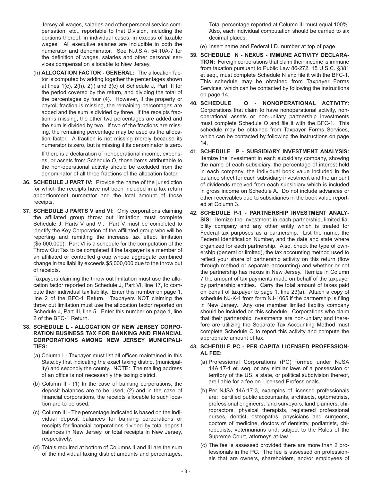Jersey all wages, salaries and other personal service compensation, etc., reportable to that Division, including the portions thereof, in individual cases, in excess of taxable wages. All executive salaries are includible in both the numerator and denominator. See N.J.S.A. 54:10A-7 for the definition of wages, salaries and other personal services compensation allocable to New Jersey.

(h) **ALLOCATION FACTOR - GENERAL:** The allocation factor is computed by adding together the percentages shown at lines 1(c), 2(h), 2(i) and 3(c) of Schedule J, Part III for the period covered by the return, and dividing the total of the percentages by four (4). However, if the property or payroll fraction is missing, the remaining percentages are added and the sum is divided by three. If the receipts fraction is missing, the other two percentages are added and the sum is divided by two. If two of the fractions are missing, the remaining percentage may be used as the allocation factor. A fraction is not missing merely because its numerator is zero, but is missing if its denominator is zero.

If there is a declaration of nonoperational income, expenses, or assets from Schedule O, those items attributable to the non-operational activity should be excluded from the denominator of all three fractions of the allocation factor.

- **36. SCHEDULE J PART IV:** Provide the name of the jurisdiction for which the receipts have not been included in a tax return apportionment numerator and the total amount of those receipts.
- **37. SCHEDULE J PARTS V and VI:** Only corporations claiming the affiliated group throw out limitation must complete Schedule J, Parts V and VI. Part V must be completed to identify the Key Corporation of the affiliated group who will be reporting and remitting the increase tax effect limitation (\$5,000,000). Part VI is a schedule for the computation of the Throw Out Tax to be completed if the taxpayer is a member of an affiliated or controlled group whose aggregate combined change in tax liability exceeds \$5,000,000 due to the throw out of receipts.

Taxpayers claiming the throw out limitation must use the allocation factor reported on Schedule J, Part VI, line 17, to compute their individual tax liability. Enter this number on page 1, line 2 of the BFC-1 Return. Taxpayers NOT claiming the throw out limitation must use the allocation factor reported on Schedule J, Part III, line 5. Enter this number on page 1, line 2 of the BFC-1 Return.

- **38. SCHEDULE L ALLOCATION OF NEW JERSEY CORPO-RATION BUSINESS TAX FOR BANKING AND FINANCIAL CORPORATIONS AMONG NEW JERSEY MUNICIPALI-TIES:**
	- (a) Column I Taxpayer must list all offices maintained in this State,by first indicating the exact taxing district (municipality) and secondly the county. NOTE: The mailing address of an office is not necessarily the taxing district.
	- (b) Column II (1) In the case of banking corporations, the deposit balances are to be used; (2) and in the case of financial corporations, the receipts allocable to such location are to be used.
	- (c) Column III The percentage indicated is based on the individual deposit balances for banking corporations or receipts for financial corporations divided by total deposit balances in New Jersey, or total receipts in New Jersey, respectively.
	- (d) Totals required at bottom of Columns II and III are the sum of the individual taxing district amounts and percentages.

Total percentage reported at Column III must equal 100%. Also, each individual computation should be carried to six decimal places.

- (e) Insert name and Federal I.D. number at top of page.
- **39. SCHEDULE N NEXUS IMMUNE ACTIVITY DECLARA-TION:** Foreign corporations that claim their income is immune from taxation pursuant to Public Law 86-272, 15 U.S.C. §381 et seq., must complete Schedule N and file it with the BFC-1. This schedule may be obtained from Taxpayer Forms Services, which can be contacted by following the instructions on page 14.
- **40. SCHEDULE O NONOPERATIONAL ACTIVITY:** Corporations that claim to have nonoperational activity, nonoperational assets or non-unitary partnership investments must complete Schedule O and file it with the BFC-1. This schedule may be obtained from Taxpayer Forms Services, which can be contacted by following the instructions on page 14.
- **41. SCHEDULE P SUBSIDIARY INVESTMENT ANALYSIS:** Itemize the investment in each subsidiary company, showing the name of each subsidiary, the percentage of interest held in each company, the individual book value included in the balance sheet for each subsidiary investment and the amount of dividends received from each subsidiary which is included in gross income on Schedule A. Do not include advances or other receivables due to subsidiaries in the book value reported at Column 3.
- **42. SCHEDULE P-1 PARTNERSHIP INVESTMENT ANALY-SIS:** Itemize the investment in each partnership, limited liability company and any other entity which is treated for Federal tax purposes as a partnership. List the name, the Federal Identification Number, and the date and state where organized for each partnership. Also, check the type of ownership (general or limited), the tax accounting method used to reflect your share of partnership activity on this return (flow through method or separate accounting) and whether or not the partnership has nexus in New Jersey. Itemize in Column 7 the amount of tax payments made on behalf of the taxpayer by partnership entities. Carry the total amount of taxes paid on behalf of taxpayer to page 1, line 23(a). Attach a copy of schedule NJ-K-1 from form NJ-1065 if the partnership is filing in New Jersey. Any one member limited liability company should be included on this schedule. Corporations who claim that their partnership investments are non-unitary and therefore are utilizing the Separate Tax Accounting Method must complete Schedule O to report this activity and compute the appropriate amount of tax.

#### **43. SCHEDULE PC - PER CAPITA LICENSED PROFESSION-AL FEE:**

- (a) Professional Corporations (PC) formed under NJSA 14A:17-1 et. seq. or any similar laws of a possession or territory of the US, a state, or political subdivision thereof, are liable for a fee on Licensed Professionals.
- (b) Per NJSA 14A:17-3, examples of licensed professionals are: certified public accountants, architects, optometrists, professional engineers, land surveyors, land planners, chiropractors, physical therapists, registered professional nurses, dentist, osteopaths, physicians and surgeons, doctors of medicine, doctors of dentistry, podiatrists, chiropodists, veterinarians and, subject to the Rules of the Supreme Court, attorneys-at-law.
- (c) The fee is assessed provided there are more than 2 professionals in the PC. The fee is assessed on professionals that are owners, shareholders, and/or employees of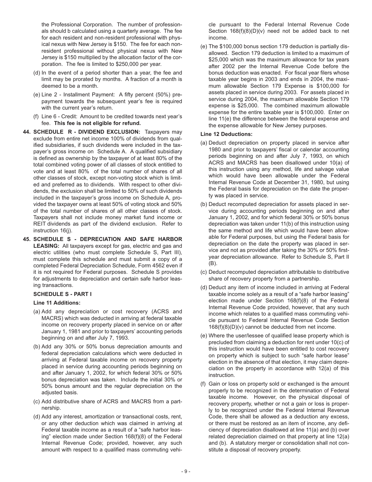the Professional Corporation. The number of professionals should b calculated using a quarterly average. The fee for each resident and non-resident professional with physical nexus with New Jersey is \$150. The fee for each nonresident professional without physical nexus with New Jersey is \$150 multiplied by the allocation factor of the corporation. The fee is limited to \$250,000 per year.

- (d) In the event of a period shorter than a year, the fee and limit may be prorated by months. A fraction of a month is deemed to be a month.
- (e) Line 2 Installment Payment: A fifty percent (50%) prepayment towards the subsequent year's fee is required with the current year's return.
- (f) Line 6 Credit: Amount to be credited towards next year's fee. **This fee is not eligible for refund.**
- **44. SCHEDULE R DIVIDEND EXCLUSION:** Taxpayers may exclude from entire net income 100% of dividends from qualified subsidiaries, if such dividends were included in the taxpayer's gross income on Schedule A. A qualified subsidiary is defined as ownership by the taxpayer of at least 80% of the total combined voting power of all classes of stock entitled to vote and at least 80% of the total number of shares of all other classes of stock, except non-voting stock which is limited and preferred as to dividends. With respect to other dividends, the exclusion shall be limited to 50% of such dividends included in the taxpayer's gross income on Schedule A, provided the taxpayer owns at least 50% of voting stock and 50% of the total number of shares of all other classes of stock. Taxpayers shall not include money market fund income or REIT dividends as part of the dividend exclusion. Refer to instruction 16(j).
- **45. SCHEDULE S DEPRECIATION AND SAFE HARBOR LEASING:** All taxpayers except for gas, electric and gas and electric utilities (who must complete Schedule S, Part III), must complete this schedule and must submit a copy of a completed Federal Depreciation Schedule, Form 4562 even if it is not required for Federal purposes. Schedule S provides for adjustments to depreciation and certain safe harbor leasing transactions.

#### **SCHEDULE S - PART I**

#### **Line 11 Additions:**

- (a) Add any depreciation or cost recovery (ACRS and MACRS) which was deducted in arriving at federal taxable income on recovery property placed in service on or after January 1, 1981 and prior to taxpayers' accounting periods beginning on and after July 7, 1993.
- (b) Add any 30% or 50% bonus depreciation amounts and federal depreciation calculations which were deducted in arriving at Federal taxable income on recovery property placed in service during accounting periods beginning on and after January 1, 2002, for which federal 30% or 50% bonus depreciation was taken. Include the initial 30% or 50% bonus amount and the regular depreciation on the adjusted basis.
- (c) Add distributive share of ACRS and MACRS from a partnership.
- (d) Add any interest, amortization or transactional costs, rent, or any other deduction which was claimed in arriving at Federal taxable income as a result of a "safe harbor leasing" election made under Section 168(f)(8) of the Federal Internal Revenue Code; provided, however, any such amount with respect to a qualified mass commuting vehi-

cle pursuant to the Federal Internal Revenue Code Section 168(f)(8)(D)(v) need not be added back to net income.

(e) The \$100,000 bonus section 179 deduction is partially disallowed. Section 179 deduction is limited to a maximum of \$25,000 which was the maximum allowance for tax years after 2002 per the Internal Revenue Code before the bonus deduction was enacted. For fiscal year filers whose taxable year begins in 2003 and ends in 2004, the maximum allowable Section 179 Expense is \$100,000 for assets placed in service during 2003. For assets placed in service during 2004, the maximum allowable Section 179 expense is \$25,000. The combined maximum allowable expense for the entire taxable year is \$100,000. Enter on line 11(e) the difference between the federal expense and the expense allowable for New Jersey purposes.

#### **Line 12 Deductions:**

- (a) Deduct depreciation on property placed in service after 1980 and prior to taxpayers' fiscal or calendar accounting periods beginning on and after July 7, 1993, on which ACRS and MACRS has been disallowed under 10(a) of this instruction using any method, life and salvage value which would have been allowable under the Federal Internal Revenue Code at December 31, 1980, but using the Federal basis for depreciation on the date the property was placed in service.
- (b) Deduct recomputed depreciation for assets placed in service during accounting periods beginning on and after January 1, 2002, and for which federal 30% or 50% bonus depreciation was taken under 11(b) of this instruction using the same method and life which would have been allowable for Federal purposes, but using the Federal basis for depreciation on the date the property was placed in service and not as provided after taking the 30% or 50% firstyear depreciation allowance. Refer to Schedule S, Part II (B).
- (c) Deduct recomputed depreciation attributable to distributive share of recovery property from a partnership.
- (d) Deduct any item of income included in arriving at Federal taxable income solely as a result of a "safe harbor leasing" election made under Section 168(f)(8) of the Federal Internal Revenue Code provided, however, that any such income which relates to a qualified mass commuting vehicle pursuant to Federal Internal Revenue Code Section 168(f)(8)(D)(v) cannot be deducted from net income.
- (e) Where the user/lessee of qualified lease property which is precluded from claiming a deduction for rent under 10(c) of this instruction would have been entitled to cost recovery on property which is subject to such "safe harbor lease" election in the absence of that election, it may claim depreciation on the property in accordance with 12(a) of this instruction.
- (f) Gain or loss on property sold or exchanged is the amount properly to be recognized in the determination of Federal taxable income. However, on the physical disposal of recovery property, whether or not a gain or loss is properly to be recognized under the Federal Internal Revenue Code, there shall be allowed as a deduction any excess, or there must be restored as an item of income, any deficiency of depreciation disallowed at line 11(a) and (b) over related depreciation claimed on that property at line 12(a) and (b). A statutory merger or consolidation shall not constitute a disposal of recovery property.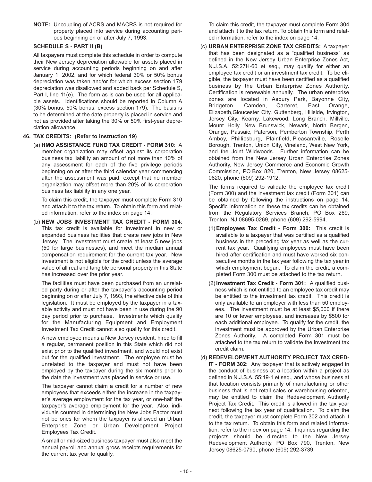**NOTE:** Uncoupling of ACRS and MACRS is not required for property placed into service during accounting periods beginning on or after July 7, 1993.

#### **SCHEDULE S - PART II (B)**

All taxpayers must complete this schedule in order to compute their New Jersey depreciation allowable for assets placed in service during accounting periods beginning on and after January 1, 2002, and for which federal 30% or 50% bonus depreciation was taken and/or for which excess section 179 depreciation was disallowed and added back per Schedule S, Part I, line 11(e). The form as is can be used for all applicable assets. Identifications should be reported in Column A (30% bonus, 50% bonus, excess section 179). The basis is to be determined at the date property is placed in service and not as provided after taking the 30% or 50% first-year depreciation allowance.

#### **46. TAX CREDITS: (Refer to instruction 19)**

(a) **HMO ASSISTANCE FUND TAX CREDIT - FORM 310**: A member organization may offset against its corporation business tax liability an amount of not more than 10% of any assessment for each of the five privilege periods beginning on or after the third calendar year commencing after the assessment was paid, except that no member organization may offset more than 20% of its corporation business tax liability in any one year.

To claim this credit, the taxpayer must complete Form 310 and attach it to the tax return. To obtain this form and related information, refer to the index on page 14.

(b) **NEW JOBS INVESTMENT TAX CREDIT - FORM 304**: This tax credit is available for investment in new or expanded business facilities that create new jobs in New Jersey. The investment must create at least 5 new jobs (50 for large businesses), and meet the median annual compensation requirement for the current tax year. New investment is not eligible for the credit unless the average value of all real and tangible personal property in this State has increased over the prior year.

The facilities must have been purchased from an unrelated party during or after the taxpayer's accounting period beginning on or after July 7, 1993, the effective date of this legislation. It must be employed by the taxpayer in a taxable activity and must not have been in use during the 90 day period prior to purchase. Investments which qualify for the Manufacturing Equipment and Employment Investment Tax Credit cannot also qualify for this credit.

A new employee means a New Jersey resident, hired to fill a regular, permanent position in this State which did not exist prior to the qualified investment, and would not exist but for the qualified investment. The employee must be unrelated to the taxpayer and must not have been employed by the taxpayer during the six months prior to the date the investment was placed in service or use.

The taxpayer cannot claim a credit for a number of new employees that exceeds either the increase in the taxpayer's average employment for the tax year, or one-half the taxpayer's average employment for the year. Also, individuals counted in determining the New Jobs Factor must not be ones for whom the taxpayer is allowed an Urban Enterprise Zone or Urban Development Project Employees Tax Credit.

A small or mid-sized business taxpayer must also meet the annual payroll and annual gross receipts requirements for the current tax year to qualify.

To claim this credit, the taxpayer must complete Form 304 and attach it to the tax return. To obtain this form and related information, refer to the index on page 14.

(c) **URBAN ENTERPRISE ZONE TAX CREDITS:** A taxpayer that has been designated as a "qualified business" as defined in the New Jersey Urban Enterprise Zones Act, N.J.S.A. 52:27H-60 et seq., may qualify for either an employee tax credit or an investment tax credit. To be eligible, the taxpayer must have been certified as a qualified business by the Urban Enterprise Zones Authority. Certification is renewable annually. The urban enterprise zones are located in Asbury Park, Bayonne City, Bridgeton, Camden, Carteret, East Orange, Elizabeth,Gloucester City, Guttenberg, Hillside, Irvington, Jersey City, Kearny, Lakewood, Long Branch, Millville, Mount Holly, New Brunswick, Newark, North Bergen, Orange, Passaic, Paterson, Pemberton Township, Perth Amboy, Phillipsburg, Plainfield, Pleasantville, Roselle Borough, Trenton, Union City, Vineland, West New York, and the Joint Wildwoods. Further information can be obtained from the New Jersey Urban Enterprise Zones Authority, New Jersey Commerce and Economic Growth Commission, PO Box 820, Trenton, New Jersey 08625- 0820, phone (609) 292-1912.

The forms required to validate the employee tax credit (Form 300) and the investment tax credit (Form 301) can be obtained by following the instructions on page 14. Specific information on these tax credits can be obtained from the Regulatory Services Branch, PO Box 269, Trenton, NJ 08695-0269, phone (609) 292-5994.

- (1) **Employees Tax Credit Form 300:** This credit is available to a taxpayer that was certified as a qualified business in the preceding tax year as well as the current tax year. Qualifying employees must have been hired after certification and must have worked six consecutive months in the tax year following the tax year in which employment began. To claim the credit, a completed Form 300 must be attached to the tax return.
- (2) **Investment Tax Credit Form 301:** A qualified business which is not entitled to an employee tax credit may be entitled to the investment tax credit. This credit is only available to an employer with less than 50 employees. The investment must be at least \$5,000 if there are 10 or fewer employees, and increases by \$500 for each additional employee. To qualify for the credit, the investment must be approved by the Urban Enterprise Zones Authority. A completed Form 301 must be attached to the tax return to validate the investment tax credit claim.
- (d) **REDEVELOPMENT AUTHORITY PROJECT TAX CRED-IT - FORM 302:** Any taxpayer that is actively engaged in the conduct of business at a location within a project as defined in N.J.S.A. 55:19-1 et seq., and whose business at that location consists primarily of manufacturing or other business that is not retail sales or warehousing oriented, may be entitled to claim the Redevelopment Authority Project Tax Credit. This credit is allowed in the tax year next following the tax year of qualification. To claim the credit, the taxpayer must complete Form 302 and attach it to the tax return. To obtain this form and related information, refer to the index on page 14. Inquiries regarding the projects should be directed to the New Jersey Redevelopment Authority, PO Box 790, Trenton, New Jersey 08625-0790, phone (609) 292-3739.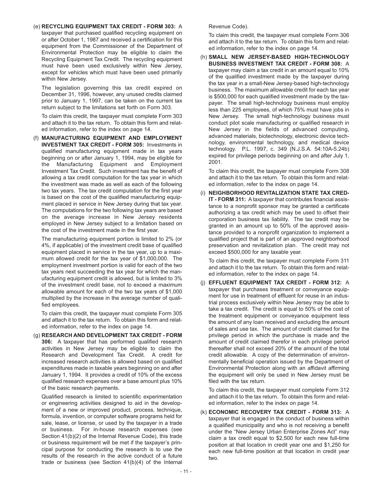(e) **RECYCLING EQUIPMENT TAX CREDIT - FORM 303:** A taxpayer that purchased qualified recycling equipment on or after October 1, 1987 and received a certification for this equipment from the Commissioner of the Department of Environmental Protection may be eligible to claim the Recycling Equipment Tax Credit. The recycling equipment must have been used exclusively within New Jersey, except for vehicles which must have been used primarily within New Jersey.

The legislation governing this tax credit expired on December 31, 1996, however, any unused credits claimed prior to January 1, 1997, can be taken on the current tax return subject to the limitations set forth on Form 303.

To claim this credit, the taxpayer must complete Form 303 and attach it to the tax return. To obtain this form and related information, refer to the index on page 14.

(f) **MANUFACTURING EQUIPMENT AND EMPLOYMENT INVESTMENT TAX CREDIT - FORM 305:** Investments in qualified manufacturing equipment made in tax years beginning on or after January 1, 1994, may be eligible for the Manufacturing Equipment and Employment Investment Tax Credit. Such investment has the benefit of allowing a tax credit computation for the tax year in which the investment was made as well as each of the following two tax years. The tax credit computation for the first year is based on the cost of the qualified manufacturing equipment placed in service in New Jersey during that tax year. The computations for the two following tax years are based on the average increase in New Jersey residents employed in New Jersey subject to a limitation based on the cost of the investment made in the first year.

The manufacturing equipment portion is limited to 2% (or 4%, if applicable) of the investment credit base of qualified equipment placed in service in the tax year, up to a maximum allowed credit for the tax year of \$1,000,000. The employment investment portion is valid for each of the two tax years next succeeding the tax year for which the manufacturing equipment credit is allowed, but is limited to 3% of the investment credit base, not to exceed a maximum allowable amount for each of the two tax years of \$1,000 multiplied by the increase in the average number of qualified employees.

To claim this credit, the taxpayer must complete Form 305 and attach it to the tax return. To obtain this form and related information, refer to the index on page 14.

(g) **RESEARCH AND DEVELOPMENT TAX CREDIT - FORM 306:** A taxpayer that has performed qualified research activities in New Jersey may be eligible to claim the Research and Development Tax Credit. A credit for increased research activities is allowed based on qualified expenditures made in taxable years beginning on and after January 1, 1994. It provides a credit of 10% of the excess qualified research expenses over a base amount plus 10% of the basic research payments.

Qualified research is limited to scientific experimentation or engineering activities designed to aid in the development of a new or improved product, process, technique, formula, invention, or computer software programs held for sale, lease, or license, or used by the taxpayer in a trade or business. For in-house research expenses (see Section 41(b)(2) of the Internal Revenue Code), this trade or business requirement will be met if the taxpayer's principal purpose for conducting the research is to use the results of the research in the active conduct of a future trade or business (see Section 41(b)(4) of the Internal

Revenue Code).

To claim this credit, the taxpayer must complete Form 306 and attach it to the tax return. To obtain this form and related information, refer to the index on page 14.

(h) **SMALL NEW JERSEY-BASED HIGH-TECHNOLOGY BUSINESS INVESTMENT TAX CREDIT - FORM 308:** A taxpayer may claim a tax credit in an amount equal to 10% of the qualified investment made by the taxpayer during the tax year in a small-New Jersey-based high-technology business. The maximum allowable credit for each tax year is \$500,000 for each qualified investment made by the taxpayer. The small high-technology business must employ less than 225 employees, of which 75% must have jobs in New Jersey. The small high-technology business must conduct pilot scale manufacturing or qualified research in New Jersey in the fields of advanced computing, advanced materials, biotechnology, electronic device technology, environmental technology, and medical device technology. P.L. 1997, c. 349 (N.J.S.A. 54:10A-5.24b) expired for privilege periods beginning on and after July 1, 2001.

To claim this credit, the taxpayer must complete Form 308 and attach it to the tax return. To obtain this form and related information, refer to the index on page 14.

(i) **NEIGHBORHOOD REVITALIZATION STATE TAX CRED-IT - FORM 311:** A taxpayer that contributes financial assistance to a nonprofit sponsor may be granted a certificate authorizing a tax credit which may be used to offset their corporation business tax liability. The tax credit may be granted in an amount up to 50% of the approved assistance provided to a nonprofit organization to implement a qualified project that is part of an approved neighborhood preservation and revitalization plan. The credit may not exceed \$500,000 for any taxable year.

To claim this credit, the taxpayer must complete Form 311 and attach it to the tax return. To obtain this form and related information, refer to the index on page 14.

(j) **EFFLUENT EQUIPMENT TAX CREDIT - FORM 312:** A taxpayer that purchases treatment or convevance equipment for use in treatment of effluent for reuse in an industrial process exclusively within New Jersey may be able to take a tax credit. The credit is equal to 50% of the cost of the treatment equipment or conveyance equipment less the amount of any loan received and excluding the amount of sales and use tax. The amount of credit claimed for the privilege period in which the purchase is made and the amount of credit claimed therefor in each privilege period thereafter shall not exceed 20% of the amount of the total credit allowable. A copy of the determination of environmentally beneficial operation issued by the Department of Environmental Protection along with an affidavit affirming the equipment will only be used in New Jersey must be filed with the tax return.

To claim this credit, the taxpayer must complete Form 312 and attach it to the tax return. To obtain this form and related information, refer to the index on page 14.

(k) **ECONOMIC RECOVERY TAX CREDIT - FORM 313:** A taxpayer that is engaged in the conduct of business within a qualified municipality and who is not receiving a benefit under the "New Jersey Urban Enterprise Zones Act" may claim a tax credit equal to \$2,500 for each new full-time position at that location in credit year one and \$1,250 for each new full-time position at that location in credit year two.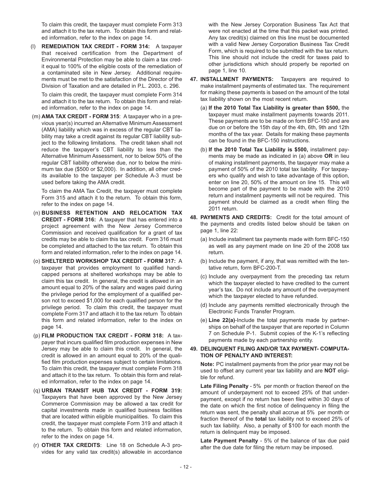To claim this credit, the taxpayer must complete Form 313 and attach it to the tax return. To obtain this form and related information, refer to the index on page 14.

**REMEDIATION TAX CREDIT - FORM 314: A taxpayer** that received certification from the Department of Environmental Protection may be able to claim a tax credit equal to 100% of the eligible costs of the remediation of a contaminated site in New Jersey. Additional requirements must be met to the satisfaction of the Director of the Division of Taxation and are detailed in P.L. 2003, c. 296.

To claim this credit, the taxpayer must complete Form 314 and attach it to the tax return. To obtain this form and related information, refer to the index on page 14.

(m) **AMA TAX CREDIT - FORM 315**: A taxpayer who in a previous year(s) incurred an Alternative Minimum Assessment (AMA) liability which was in excess of the regular CBT liability may take a credit against its regular CBT liability subject to the following limitations. The credit taken shall not reduce the taxpayer's CBT liability to less than the Alternative Minimum Assessment, nor to below 50% of the regular CBT liability otherwise due, nor to below the minimum tax due (\$500 or \$2,000). In addition, all other credits available to the taxpayer per Schedule A-3 must be used before taking the AMA credit.

To claim the AMA Tax Credit, the taxpayer must complete Form 315 and attach it to the return. To obtain this form, refer to the index on page 14.

- (n) **BUSINESS RETENTION AND RELOCATION TAX CREDIT - FORM 316:** A taxpayer that has entered into a project agreement with the New Jersey Commerce Commission and received qualification for a grant of tax credits may be able to claim this tax credit. Form 316 must be completed and attached to the tax return. To obtain this form and related information, refer to the index on page 14.
- (o) **SHELTERED WORKSHOP TAX CREDIT FORM 317:** A taxpayer that provides employment to qualified handicapped persons at sheltered workshops may be able to claim this tax credit. In general, the credit is allowed in an amount equal to 20% of the salary and wages paid during the privilege period for the employment of a qualified person not to exceed \$1,000 for each qualified person for the privilege period. To claim this credit, the taxpayer must complete Form 317 and attach it to the tax return To obtain this form and related information, refer to the index on page 14.
- (p) **FILM PRODUCTION TAX CREDIT FORM 318:** A taxpayer that incurs qualified film production expenses in New Jersey may be able to claim this credit. In general, the credit is allowed in an amount equal to 20% of the qualified film production expenses subject to certain limitations. To claim this credit, the taxpayer must complete Form 318 and attach it to the tax return. To obtain this form and related information, refer to the index on page 14.
- (q) **URBAN TRANSIT HUB TAX CREDIT FORM 319:** Taxpayers that have been approved by the New Jersey Commerce Commission may be allowed a tax credit for capital investments made in qualified business facilities that are located within eligible municipalities. To claim this credit, the taxpayer must complete Form 319 and attach it to the return. To obtain this form and related information, refer to the index on page 14.
- (r) **OTHER TAX CREDITS**: Line 18 on Schedule A-3 provides for any valid tax credit(s) allowable in accordance

with the New Jersey Corporation Business Tax Act that were not enacted at the time that this packet was printed. Any tax credit(s) claimed on this line must be documented with a valid New Jersey Corporation Business Tax Credit Form, which is required to be submitted with the tax return. This line should not include the credit for taxes paid to other jurisdictions which should properly be reported on page 1, line 10.

- **47. INSTALLMENT PAYMENTS:** Taxpayers are required to make installment payments of estimated tax. The requirement for making these payments is based on the amount of the total tax liability shown on the most recent return.
	- (a) **If the 2010 Total Tax Liability is greater than \$500,** the taxpayer must make installment payments towards 2011. These payments are to be made on form BFC-150 and are due on or before the 15th day of the 4th, 6th, 9th and 12th months of the tax year. Details for making these payments can be found in the BFC-150 instructions.
	- (b) **If the 2010 Total Tax Liability is \$500,** installment payments may be made as indicated in (a) above **OR** in lieu of making installment payments, the taxpayer may make a payment of 50% of the 2010 total tax liability. For taxpayers who qualify and wish to take advantage of this option, enter on line 20, 50% of the amount on line 15. This will become part of the payment to be made with the 2010 return and installment payments will not be required. This payment should be claimed as a credit when filing the 2011 return.
- **48. PAYMENTS AND CREDITS:** Credit for the total amount of the payments and credits listed below should be taken on page 1, line 22:
	- (a) Include installment tax payments made with form BFC-150 as well as any payment made on line 20 of the 2008 tax return.
	- (b) Include the payment, if any, that was remitted with the tentative return, form BFC-200-T.
	- (c) Include any overpayment from the preceding tax return which the taxpayer elected to have credited to the current year's tax. Do not include any amount of the overpayment which the taxpayer elected to have refunded.
	- (d) Include any payments remitted electronically through the Electronic Funds Transfer Program.
	- (e) **Line 22(a)**-Include the total payments made by partnerships on behalf of the taxpayer that are reported in Column 7 on Schedule P-1. Submit copies of the K-1's reflecting payments made by each partnership entity.

#### **49. DELINQUENT FILING AND/OR TAX PAYMENT- COMPUTA-TION OF PENALTY AND INTEREST:**

**Note:** PC installment payments from the prior year may not be used to offset any current year tax liability and are **NOT** eligible for refund.

**Late Filing Penalty** - 5% per month or fraction thereof on the amount of underpayment not to exceed 25% of that underpayment, except if no return has been filed within 30 days of the date on which the first notice of delinquency in filing the return was sent, the penalty shall accrue at 5% per month or fraction thereof of the **total** tax liability not to exceed 25% of such tax liability. Also, a penalty of \$100 for each month the return is delinquent may be imposed.

**Late Payment Penalty** - 5% of the balance of tax due paid after the due date for filing the return may be imposed.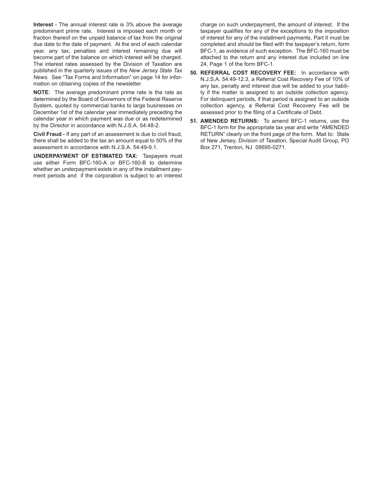**Interest** - The annual interest rate is 3% above the average predominant prime rate. Interest is imposed each month or fraction thereof on the unpaid balance of tax from the original due date to the date of payment. At the end of each calendar year, any tax, penalties and interest remaining due will become part of the balance on which interest will be charged. The interest rates assessed by the Division of Taxation are published in the quarterly issues of the *New Jersey State Tax News*. See "Tax Forms and Information" on page 14 for information on obtaining copies of the newsletter.

**NOTE**: The average predominant prime rate is the rate as determined by the Board of Governors of the Federal Reserve System, quoted by commercial banks to large businesses on December 1st of the calendar year immediately preceding the calendar year in which payment was due or as redetermined by the Director in accordance with N.J.S.A. 54:48-2.

**Civil Fraud -** If any part of an assessment is due to civil fraud, there shall be added to the tax an amount equal to 50% of the assessment in accordance with N.J.S.A. 54:49-9.1.

**UNDERPAYMENT OF ESTIMATED TAX:** Taxpayers must use either Form BFC-160-A or BFC-160-B to determine whether an underpayment exists in any of the installment payment periods and if the corporation is subject to an interest charge on such underpayment, the amount of interest. If the taxpayer qualifies for any of the exceptions to the imposition of interest for any of the installment payments, Part II must be completed and should be filed with the taxpayer's return, form BFC-1, as evidence of such exception. The BFC-160 must be attached to the return and any interest due included on line 24, Page 1 of the form BFC-1.

- **50. REFERRAL COST RECOVERY FEE:** In accordance with N.J.S.A. 54:49-12.3, a Referral Cost Recovery Fee of 10% of any tax, penalty and interest due will be added to your liability if the matter is assigned to an outside collection agency. For delinquent periods, if that period is assigned to an outside collection agency, a Referral Cost Recovery Fee will be assessed prior to the filing of a Certificate of Debt.
- **51. AMENDED RETURNS:** To amend BFC-1 returns, use the BFC-1 form for the appropriate tax year and write "AMENDED RETURN" clearly on the front page of the form. Mail to: State of New Jersey, Division of Taxation, Special Audit Group, PO Box 271, Trenton, NJ 08695-0271.